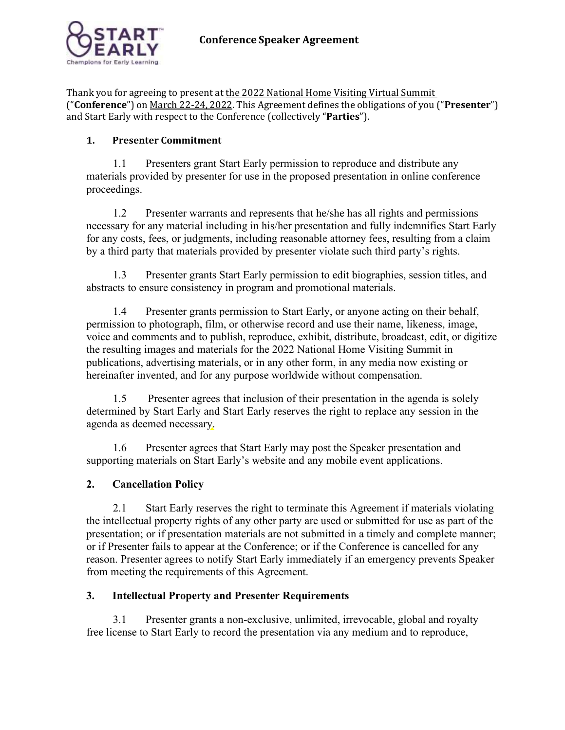

Thank you for agreeing to present at the 2022 National Home Visiting Virtual Summit ("**Conference**") on March 22-24, 2022. This Agreement defines the obligations of you ("**Presenter**") and Start Early with respect to the Conference (collectively "**Parties**").

# **1. Presenter Commitment**

1.1 Presenters grant Start Early permission to reproduce and distribute any materials provided by presenter for use in the proposed presentation in online conference proceedings.

1.2 Presenter warrants and represents that he/she has all rights and permissions necessary for any material including in his/her presentation and fully indemnifies Start Early for any costs, fees, or judgments, including reasonable attorney fees, resulting from a claim by a third party that materials provided by presenter violate such third party's rights.

1.3 Presenter grants Start Early permission to edit biographies, session titles, and abstracts to ensure consistency in program and promotional materials.

1.4 Presenter grants permission to Start Early, or anyone acting on their behalf, permission to photograph, film, or otherwise record and use their name, likeness, image, voice and comments and to publish, reproduce, exhibit, distribute, broadcast, edit, or digitize the resulting images and materials for the 2022 National Home Visiting Summit in publications, advertising materials, or in any other form, in any media now existing or hereinafter invented, and for any purpose worldwide without compensation.

1.5 Presenter agrees that inclusion of their presentation in the agenda is solely determined by Start Early and Start Early reserves the right to replace any session in the agenda as deemed necessary.

1.6 Presenter agrees that Start Early may post the Speaker presentation and supporting materials on Start Early's website and any mobile event applications.

# **2. Cancellation Policy**

2.1 Start Early reserves the right to terminate this Agreement if materials violating the intellectual property rights of any other party are used or submitted for use as part of the presentation; or if presentation materials are not submitted in a timely and complete manner; or if Presenter fails to appear at the Conference; or if the Conference is cancelled for any reason. Presenter agrees to notify Start Early immediately if an emergency prevents Speaker from meeting the requirements of this Agreement.

# **3. Intellectual Property and Presenter Requirements**

3.1 Presenter grants a non-exclusive, unlimited, irrevocable, global and royalty free license to Start Early to record the presentation via any medium and to reproduce,